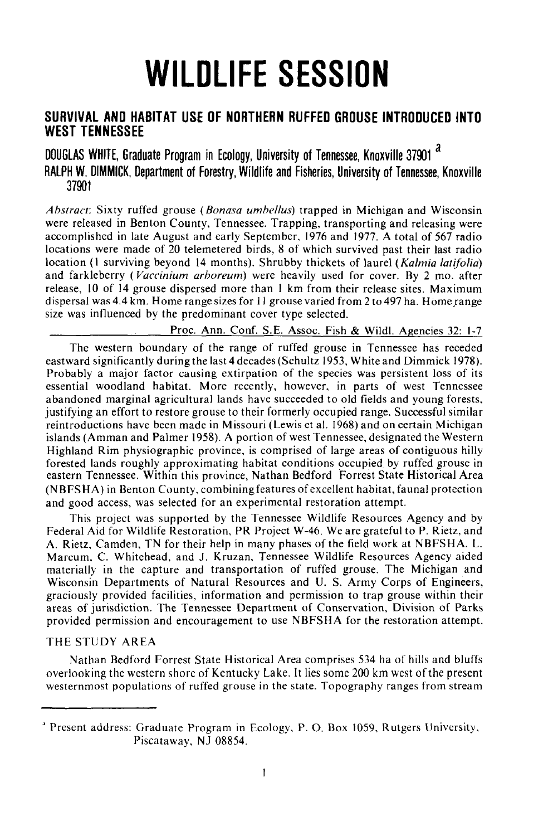# **WILDLIFE SESSION**

# **SURVIVAL AND HABITAT USE OF NORTHERN RUFFED GROUSE INTRODUCED INTO WEST TENNESSEE**

DOUGLAS WHITE, Graduate Program in Ecology, University of Tennessee, Knoxville 37901<sup>2</sup> RALPH W. DIMMICK, Department of Forestry, Wildlife and Fisheries, University of Tennessee, Knoxville 37901

*Abstract:* Sixty ruffed grouse *(Bonasa umbel/us)* trapped in Michigan and Wisconsin were released in Benton County, Tennessee. Trapping, transporting and releasing were accomplished in late August and early September, 1976 and 1977. A total of 567 radio locations were made of 20 telemetered birds, 8 of which survived past their last radio location (I surviving beyond 14 months). Shrubby thickets of laurel *(Kalmia lati/olia)* and farkleberry *(Vaccinium arboreum)* were heavily used for cover. By 2 mo. after release, 10 of 14 grouse dispersed more than I km from their release sites. Maximum dispersal was 4.4 km. Home range sizes for 11 grouse varied from 2 to 497 ha. Home range size was influenced by the predominant cover type selected.

Proc. Ann. Conf. S.E. Assoc. Fish & Wildl. Agencies 32: 1-7

The western boundary of the range of ruffed grouse in Tennessee has receded eastward significantly during the last 4 decades (Schultz 1953, White and Dimmick 1978). Probably a major factor causing extirpation of the species was persistent loss of its essential woodland habitat. More recently, however, in parts of west Tennessee abandoned marginal agricultural lands have succeeded to old fields and young forests, justifying an effort to restore grouse to their formerly occupied range. Successful similar reintroductions have been made in Missouri (Lewis et al. 1968) and on certain Michigan islands (Amman and Palmer 1958). A portion of west Tennessee, designated the Western Highland Rim physiographic province, is comprised of large areas of contiguous hilly forested lands roughly approximating habitat conditions occupied\_ by ruffed srouse in eastern Tennessee. Within this province, Nathan Bedford Forrest State Historical Area (N BFSHA) in Benton County, combining features of excellent habitat, faunal protection and good access, was selected for an experimental restoration attempt.

This project was supported by the Tennessee Wildlife Resources Agency and by Federal Aid for Wildlife Restoration, PR Project W-46. We are grateful to P. Rietz, and A. Rietz, Camden, TN for their help in many phases of the field work at NBFSHA. L. Marcum, C. Whitehead, and J. Kruzan, Tennessee Wildlife Resources Agency aided materially in the capture and transportation of ruffed grouse. The Michigan and Wisconsin Departments of Natural Resources and U. S. Army Corps of Engineers, graciously provided facilities, information and permission to trap grouse within their areas of jurisdiction. The Tennessee Department of Conservation, Division of Parks provided permission and encouragement to use NBFSHA for the restoration attempt.

# THE STUDY AREA

Nathan Bedford Forrest State Historical Area comprises 534 ha of hills and bluffs overlooking the western shore of Kentucky Lake. It lies some 200 km west of the present westernmost populations of ruffed grouse in the state. Topography ranges from stream

<sup>&</sup>lt;sup>a</sup> Present address: Graduate Program in Ecology, P. O. Box 1059, Rutgers University, Piscataway, NJ 08854.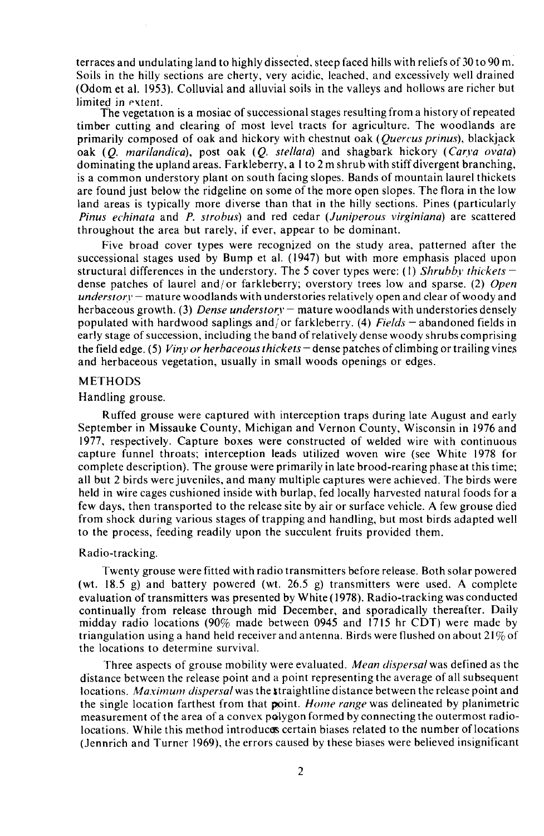terraces and undulating land to highly dissected, steep faced hills with reliefs of 30 to 90 m. Soils in the hilly sections are cherty, very acidic, leached, and excessively well drained (Odom et al. 1953). Colluvial and alluvial soils in the valleys and hollows are richer but limited in extent.

The vegetation is a mosiac of successional stages resulting from a history of repeated timber cutting and clearing of most level tracts for agriculture. The woodlands are primarily composed of oak and hickory with chestnut oak *(Quercus prinus)*, blackjack oak *(Q. marilandica),* post oak *(Q. stellata)* and shagbark hickory *(Carya ovata)* dominating the upland areas. Farkleberry, a I to 2 m shrub with stiff divergent branching, is a common understory plant on south facing slopes. Bands of mountain laurel thickets are found just below the ridgeline on some of the more open slopes. The flora in the low land areas is typically more diverse than that in the hilly sections. Pines (particularly *Pinus echinata* and *P. strobus)* and red cedar *(Juniperous virginiana)* are scattered throughout the area but rarely, if ever, appear to be dominant.

Five broad cover types were recognized on the study area, patterned after the successional stages used by Bump et al. (1947) but with more emphasis placed upon structural differences in the understory. The 5 cover types were: (I) *Shrubby thickets*dense patches of laurel and/or farkleberry; overstory trees low and sparse. (2) *Open understory* – mature woodlands with understories relatively open and clear of woody and herbaceous growth. (3) *Dense understory* – mature woodlands with understories densely populated with hardwood saplings and! or farkleberry. (4) *Fields* - abandoned fields in early stage of succession, including the band of relatively dense woody shrubs comprising the field edge. (5) *Viny or herbaceousthickets* - dense patches of climbing or trailing vines and herbaceous vegetation, usually in small woods openings or edges.

## METHODS

#### Handling grouse.

Ruffed grouse were captured with interception traps during late August and early September in Missauke County, Michigan and Vernon County, Wisconsin in 1976 and 1977, respectively. Capture boxes were constructed of welded wire with continuous capture funnel throats; interception leads utilized woven wire (see White 1978 for complete description). The grouse were primarily in late brood-rearing phase at this time; all but 2 birds were juveniles, and many multiple captures were achieved. The birds were held in wire cages cushioned inside with burlap, fed locally harvested natural foods for a few days, then transported to the release site by air or surface vehicle. A few grouse died from shock during various stages of trapping and handling, but most birds adapted well to the process, feeding readily upon the succulent fruits provided them.

#### Radio-tracking.

Twenty grouse were fitted with radio transmitters before release. Both solar powered (wt. 18.5 g) and battery powered (wt. 26.5 g) transmitters were used. A complete evaluation of transmitters was presented by White (1978). Radio-tracking was conducted continually from release through mid December, and sporadically thereafter. Daily midday radio locations (90% made between 0945 and 1715 hr CDT) were made by triangulation using a hand held receiver and antenna. Birds were flushed on about  $21\%$  of the locations to determine survival.

Three aspects of grouse mobility were evaluated. *Mean dispersal* was defined as the distance between the release point and a point representing the average of all subsequent locations. *Maximum dispersal* was the straightline distance between the release point and the single location farthest from that point. *Home range* was delineated by planimetric measurement of the area of a convex polygon formed by connecting the outermost radiolocations. While this method introduces certain biases related to the number of locations (Jennrich and Turner 1969), the errors caused by these biases were believed insignificant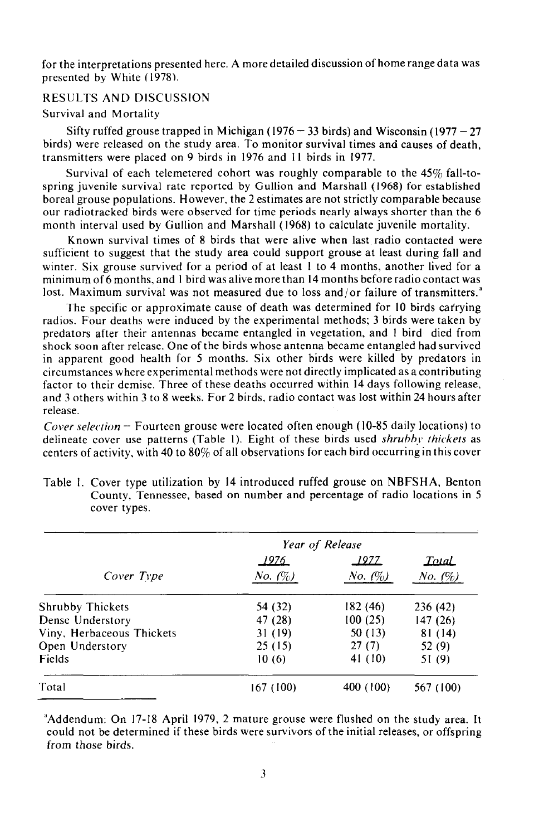for the interpretations presented here. A more detailed discussion of home range data was presented by White (1978),

# RESULTS AND DISCUSSION

#### Survival and Mortality

Sifty ruffed grouse trapped in Michigan (1976 – 33 birds) and Wisconsin (1977 – 27 birds) were released on the study area. To monitor survival times and causes of death, transmitters were placed on 9 birds in 1976 and II birds in 1977.

Survival of each telemetered cohort was roughly comparable to the 45% fall-tospring juvenile survival rate reported by Gullion and Marshall (1968) for established boreal grouse populations. However, the 2 estimates are not strictly comparable because our radiotracked birds were observed for time periods nearly always shorter than the 6 month interval used by Gullion and Marshall (1968) to calculate juvenile mortality.

Known survival times of 8 birds that were alive when last radio contacted were sufficient to suggest that the study area could support grouse at least during fall and winter. Six grouse survived for a period of at least 1 to 4 months, another lived for a minimum of6 months, and I bird was alive morethan 14 months before radio contact was lost. Maximum survival was not measured due to loss and/or failure of transmitters.<sup>a</sup>

The specific or approximate cause of death was determined for 10 birds carrying radios. Four deaths were induced by the experimental methods; 3 birds were taken by predators after their antennas became entangled in vegetation, and I bird died from shock soon after release. One of the birds whose antenna became entangled had survived in apparent good health for 5 months. Six other birds were killed by predators in circumstances where experimental methods were not directly implicated as a contributing factor to their demise. Three of these deaths occurred within 14 days following release, and 3 others within 3 to 8 weeks. For 2 birds, radio contact was lost within 24 hours after release.

*Cover selection* - Fourteen grouse were located often enough (10-85 daily locations) to delineate cover use patterns (Table I). Eight of these birds used *shruhhy thickets* as centers of activity, with 40 to 80% of all observations for each bird occurring in this cover

|                           | Year of Release   |               |                   |
|---------------------------|-------------------|---------------|-------------------|
|                           | <u> 1976.</u>     | <u> 1977 </u> | <b>Total</b>      |
| Cover Type                | <i>No.</i> $(\%)$ | No. (%)       | <i>No.</i> $(\%)$ |
| <b>Shrubby Thickets</b>   | 54 (32)           | 182 (46)      | 236 (42)          |
| Dense Understory          | 47 (28)           | 100(25)       | 147(26)           |
| Viny, Herbaceous Thickets | 31 (19)           | 50 (13)       | 81(14)            |
| Open Understory           | 25(15)            | 27(7)         | 52(9)             |
| Fields                    | 10(6)             | 41 (10)       | 51 (9)            |
| Total                     | 167 (100)         | 400 (100)     | 567 (100)         |

Table I. Cover type utilization by 14 introduced ruffed grouse on NBFSHA, Benton County, Tennessee, based on number and percentage of radio locations in 5 cover types.

"Addendum: On 17-18 April 1979, 2 mature grouse were flushed on the study area. It could not be determined if these birds were survivors of the initial releases, or offspring from those birds.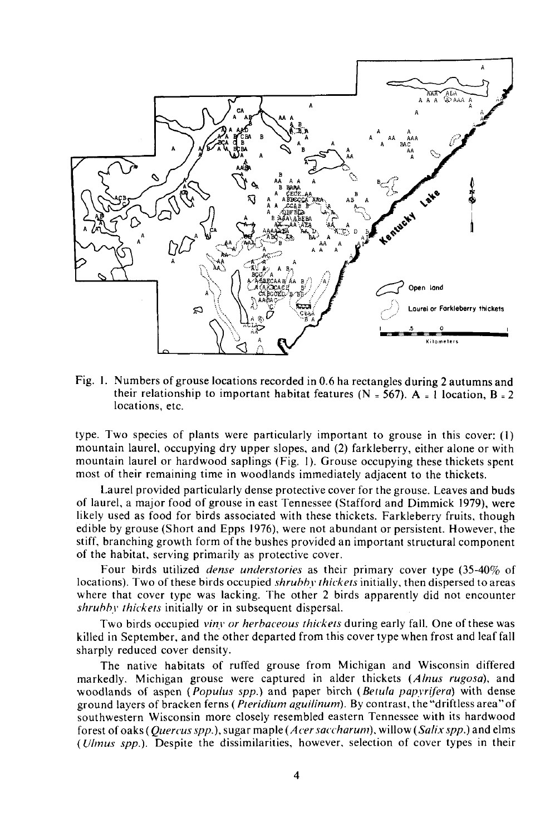

Fig. I. Numbers of grouse locations recorded in 0.6 ha rectangles during 2 autumns and their relationship to important habitat features (N = 567). A = 1 location, B = 2 locations, etc.

type. Two species of plants were particularly important to grouse in this cover: (I) mountain laurel, occupying dry upper slopes, and (2) farkleberry, either alone or with mountain laurel or hardwood saplings (Fig. I). Grouse occupying these thickets spent most of their remaining time in woodlands immediately adjacent to the thickets.

Laurel provided particularly dense protective cover for the grouse. Leaves and buds of laurel, a major food of grouse in east Tennessee (Stafford and Dimmick 1979), were likely used as food for birds associated with these thickets. Farkleberry fruits, though edible by grouse (Short and Epps 1976), were not abundant or persistent. However, the stiff, branching growth form of the bushes provided an important structural component of the habitat, serving primarily as protective cover.

Four birds utilized *dense understories* as their primary cover type (35-40% of locations). Two of these birds occupied *shruhhy thickets* initially, then dispersed to areas where that cover type was lacking. The other 2 birds apparently did not encounter *shruhhy thickets* initially or in subsequent dispersal.

Two birds occupied *viny or herhaceous thickets* during early fall. One of these was killed in September, and the other departed from this cover type when frost and leaf fall sharply reduced cover density.

The native habitats of ruffed grouse from Michigan and Wisconsin differed markedly. Michigan grouse were captured in alder thickets *(Alnus rugosa),* and woodlands of aspen *(Populus spp.)* and paper birch *(Betula papyrifera)* with dense ground layers of bracken ferns ( *Pteridium aguilinum).* By contrast, the "driftless area" of southwestern Wisconsin more closely resembled eastern Tennessee with its hardwood forest of oaks *(Quercus spp.),* sugar maple *(Acer saccharum),* willow *(Salix spp.)* and elms *(Ulmus spp.).* Despite the dissimilarities, however, selection of cover types in their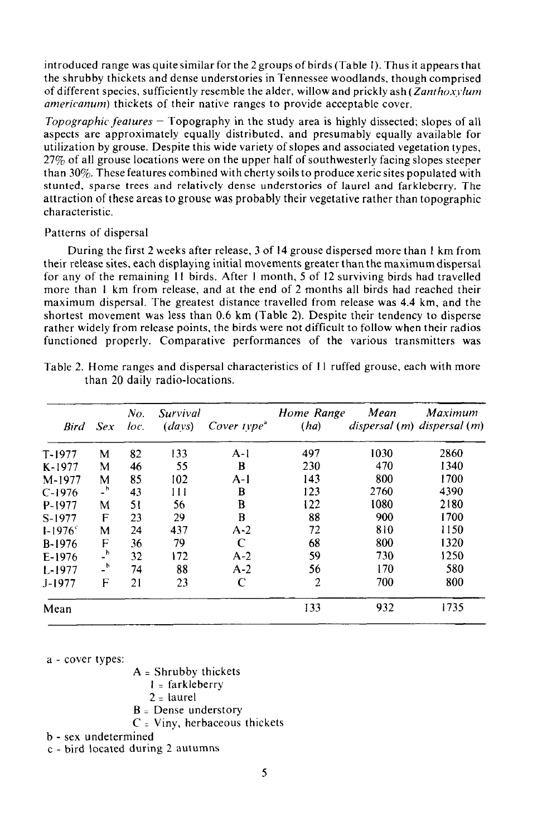introduced range was quite similar for the 2 groups of birds (Table I). Thus it appears that the shrubby thickets and dense understories in Tennessee woodlands, though comprised of different species, sufficiently resemble the alder, willow and prickly ash *(Zanthoxylum americanum*) thickets of their native ranges to provide acceptable cover.

*Topographic features* - Topography in the study area is highly dissected; slopes of all aspects are approximately equally distributed, and presumably equally available for utilization by grouse. Despite this wide variety ofslopes and associated vegetation types, 27% of all grouse locations were on the upper half of southwesterly facing slopes steeper than 30%. These features combined with cherty soils to produce xeric sites populated with stunted, sparse trees and relatively dense understories of laurel and farkleberry. The attraction of these areas to grouse was probably their vegetative rather than topographic characteristic.

#### Patterns of dispersal

During the first 2 weeks after release, 3 of 14 grouse dispersed more than I km from their release sites, each displaying initial movements greater than the maximum dispersal for any of the remaining II birds. After I month, 5 of 12 surviving birds had travelled more than 1 km from release, and at the end of 2 months all birds had reached their maximum dispersal. The greatest distance travelled from release was 4.4 km, and the shortest movement was less than 0.6 km (Table 2). Despite their tendency to disperse rather widely from release points, the birds were not difficult to follow when their radios functioned properly. Comparative performances of the various transmitters was

| <b>Bird</b>        | <b>Sex</b>       | No.<br>loc. | Survival<br>(days) | Cover $type^a$ | Home Range<br>(ha) | Mean<br>$dispersal(m)$ dispersal $(m)$ | Maximum |
|--------------------|------------------|-------------|--------------------|----------------|--------------------|----------------------------------------|---------|
| $T-1977$           | м                | 82          | 133                | $A-1$          | 497                | 1030                                   | 2860    |
| $K-1977$           | M                | 46          | 55                 | B              | 230                | 470                                    | 1340    |
| M-1977             | M                | 85          | 102                | A-l            | 143                | 800                                    | 1700    |
| $C-1976$           | _ხ               | 43          | 111                | В              | 123                | 2760                                   | 4390    |
| P-1977             | M                | 51          | 56                 | B              | 122                | 1080                                   | 2180    |
| S-1977             | F                | 23          | 29                 | B              | 88                 | 900                                    | 1700    |
| $1 - 1976^{\circ}$ | M                | 24          | 437                | $A-2$          | 72                 | 810                                    | 1150    |
| B-1976             | F                | 36          | 79                 | C              | 68                 | 800                                    | 1320    |
| $E-1976$           | $\overline{a}$   | 32          | 172                | $A-2$          | 59                 | 730                                    | 1250    |
| $L-1977$           | $-$ <sup>b</sup> | 74          | 88                 | $A-2$          | 56                 | 170                                    | 580     |
| J-1977             | F                | 21          | 23                 | C              | $\overline{2}$     | 700                                    | 800     |
| Mean               |                  |             |                    |                | 133                | 932                                    | 1735    |

Table 2. Home ranges and dispersal characteristics of II ruffed grouse, each with more than 20 daily radio-locations.

a - cover types:

 $A = Shrubby$  thickets

- 1 <sup>=</sup> farkleberry
- $2 =$  laurel
- $B =$  Dense understory
- $C =$  Viny, herbaceous thickets

b - sex undetermined

c - bird located during 2 autumns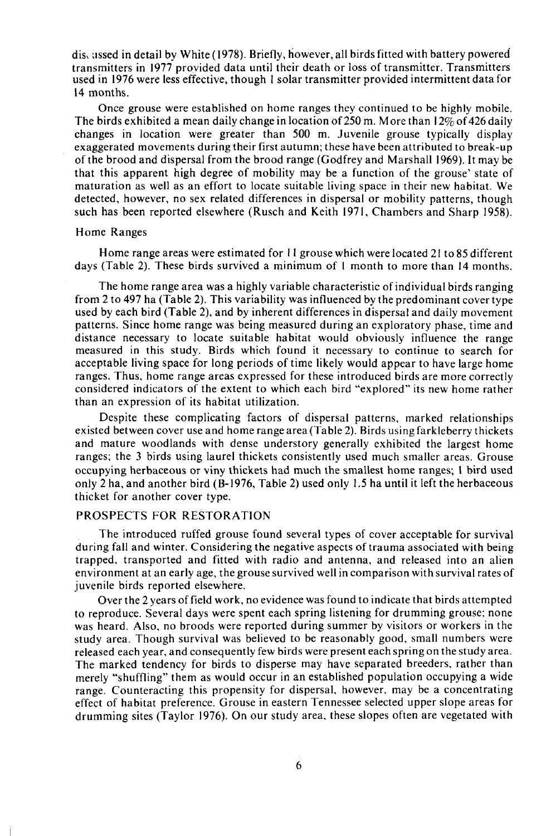dis, assed in detail by White (1978). Briefly, however, all birds fitted with battery powered transmitters in 1977 provided data until their death or loss of transmitter. Transmitters used in 1976 were less effective, though I solar transmitter provided intermittent data for 14 months.

Once grouse were established on home ranges they continued to be highly mobile. The birds exhibited a mean daily change in location of 250 m. More than  $12\%$  of 426 daily changes in location were greater than 500 m. Juvenile grouse typically display exaggerated movements during their first autumn; these have been attributed to break-up of the brood and dispersal from the brood range (Godfrey and Marshall 1969). It may be that this apparent high degree of mobility may be a function of the grouse' state of maturation as well as an effort to locate suitable living space in their new habitat. We detected, however, no sex related differences in dispersal or mobility patterns, though such has been reported elsewhere (Rusch and Keith 1971, Chambers and Sharp 1958).

#### Home Ranges

Home range areas were estimated for II grouse which were located 21 to 85 different days (Table 2). These birds survived a minimum of I month to more than 14 months.

The home range area was a highly variable characteristic of individual birds ranging from 2 to 497 ha (Table 2). This variability was influenced by the predominant cover type used by each bird (Table 2), and by inherent differences in dispersal and daily movement patterns. Since home range was being measured during an exploratory phase, time and distance necessary to locate suitable habitat would obviously influence the range measured in this study. Birds which found it necessary to continue to search for acceptable living space for long periods of time likely would appear to have large home ranges. Thus, home range areas expressed for these introduced birds are more correctly considered indicators of the extent to which each bird "explored" its new home rather than an expression of its habitat utilization.

Despite these complicating factors of dispersal patterns, marked relationships existed between cover use and home range area (Table 2). Birds using farkleberry thickets and mature woodlands with dense understory generally exhibited the largest home ranges; the 3 birds using laurel thickets consistently used much smaller areas. Grouse occupying herbaceous or viny thickets had much the smallest home ranges; I bird used only 2 ha, and another bird (B-1976, Table 2) used only 1.5 ha until it left the herbaceous thicket for another cover type.

# PROSPECTS FOR RESTORATION

The introduced ruffed grouse found several types of cover acceptable for survival during fall and winter. Considering the negative aspects of trauma associated with being trapped, transported and fitted with radio and antenna, and released into an alien environment at an early age, the grouse survived well in comparison with survival rates of juvenile birds reported elsewhere.

Over the 2 years offield work, no evidence was found to indicate that birds attempted to reproduce. Several days were spent each spring listening for drumming grouse; none was heard. Also, no broods were reported during summer by visitors or workers in the study area. Though survival was believed to be reasonably good, small numbers were released each year, and consequently few birds were present each spring on the study area. The marked tendency for birds to disperse may have separated breeders, rather than merely "shuffling" them as would occur in an established population occupying a wide range. Counteracting this propensity for dispersal, however, may be a concentrating effect of habitat preference. Grouse in eastern Tennessee selected upper slope areas for drumming sites (Taylor 1976). On our study area, these slopes often are vegetated with